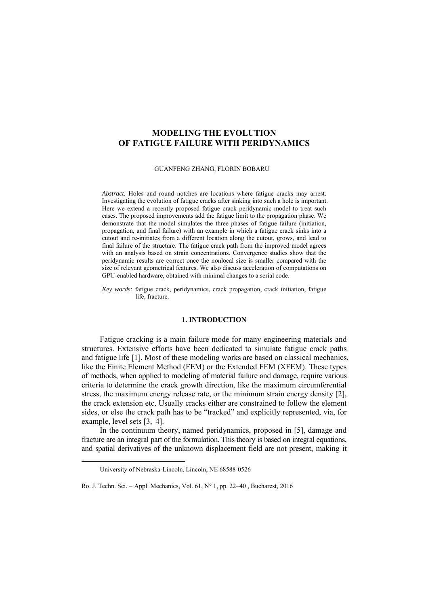# **MODELING THE EVOLUTION OF FATIGUE FAILURE WITH PERIDYNAMICS**

GUANFENG ZHANG, FLORIN BOBARU

*Abstract*. Holes and round notches are locations where fatigue cracks may arrest. Investigating the evolution of fatigue cracks after sinking into such a hole is important. Here we extend a recently proposed fatigue crack peridynamic model to treat such cases. The proposed improvements add the fatigue limit to the propagation phase. We demonstrate that the model simulates the three phases of fatigue failure (initiation, propagation, and final failure) with an example in which a fatigue crack sinks into a cutout and re-initiates from a different location along the cutout, grows, and lead to final failure of the structure. The fatigue crack path from the improved model agrees with an analysis based on strain concentrations. Convergence studies show that the peridynamic results are correct once the nonlocal size is smaller compared with the size of relevant geometrical features. We also discuss acceleration of computations on GPU-enabled hardware, obtained with minimal changes to a serial code.

*Key words:* fatigue crack, peridynamics, crack propagation, crack initiation, fatigue life, fracture.

## **1. INTRODUCTION**

Fatigue cracking is a main failure mode for many engineering materials and structures. Extensive efforts have been dedicated to simulate fatigue crack paths and fatigue life [1]. Most of these modeling works are based on classical mechanics, like the Finite Element Method (FEM) or the Extended FEM (XFEM). These types of methods, when applied to modeling of material failure and damage, require various criteria to determine the crack growth direction, like the maximum circumferential stress, the maximum energy release rate, or the minimum strain energy density [2], the crack extension etc. Usually cracks either are constrained to follow the element sides, or else the crack path has to be "tracked" and explicitly represented, via, for example, level sets [3, 4].

In the continuum theory, named peridynamics, proposed in [5], damage and fracture are an integral part of the formulation. This theory is based on integral equations, and spatial derivatives of the unknown displacement field are not present, making it

University of Nebraska-Lincoln, Lincoln, NE 68588-0526

Ro. J. Techn. Sci. − Appl. Mechanics, Vol. 61, N° 1, pp. 22−40 , Bucharest, 2016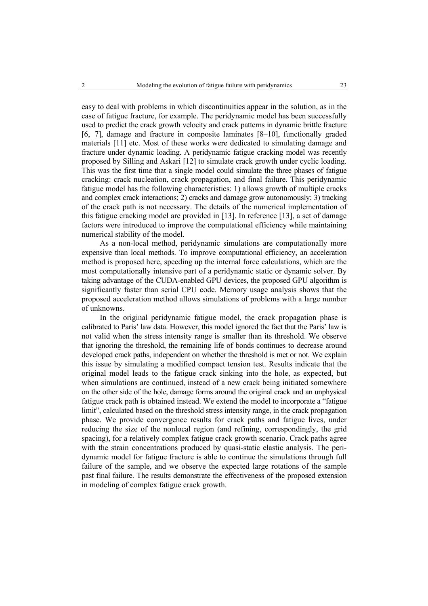easy to deal with problems in which discontinuities appear in the solution, as in the case of fatigue fracture, for example. The peridynamic model has been successfully used to predict the crack growth velocity and crack patterns in dynamic brittle fracture [6, 7], damage and fracture in composite laminates [8–10], functionally graded materials [11] etc. Most of these works were dedicated to simulating damage and fracture under dynamic loading. A peridynamic fatigue cracking model was recently proposed by Silling and Askari [12] to simulate crack growth under cyclic loading. This was the first time that a single model could simulate the three phases of fatigue cracking: crack nucleation, crack propagation, and final failure. This peridynamic fatigue model has the following characteristics: 1) allows growth of multiple cracks and complex crack interactions; 2) cracks and damage grow autonomously; 3) tracking of the crack path is not necessary. The details of the numerical implementation of this fatigue cracking model are provided in [13]. In reference [13], a set of damage factors were introduced to improve the computational efficiency while maintaining numerical stability of the model.

As a non-local method, peridynamic simulations are computationally more expensive than local methods. To improve computational efficiency, an acceleration method is proposed here, speeding up the internal force calculations, which are the most computationally intensive part of a peridynamic static or dynamic solver. By taking advantage of the CUDA-enabled GPU devices, the proposed GPU algorithm is significantly faster than serial CPU code. Memory usage analysis shows that the proposed acceleration method allows simulations of problems with a large number of unknowns.

In the original peridynamic fatigue model, the crack propagation phase is calibrated to Paris' law data. However, this model ignored the fact that the Paris' law is not valid when the stress intensity range is smaller than its threshold. We observe that ignoring the threshold, the remaining life of bonds continues to decrease around developed crack paths, independent on whether the threshold is met or not. We explain this issue by simulating a modified compact tension test. Results indicate that the original model leads to the fatigue crack sinking into the hole, as expected, but when simulations are continued, instead of a new crack being initiated somewhere on the other side of the hole, damage forms around the original crack and an unphysical fatigue crack path is obtained instead. We extend the model to incorporate a "fatigue limit", calculated based on the threshold stress intensity range, in the crack propagation phase. We provide convergence results for crack paths and fatigue lives, under reducing the size of the nonlocal region (and refining, correspondingly, the grid spacing), for a relatively complex fatigue crack growth scenario. Crack paths agree with the strain concentrations produced by quasi-static elastic analysis. The peridynamic model for fatigue fracture is able to continue the simulations through full failure of the sample, and we observe the expected large rotations of the sample past final failure. The results demonstrate the effectiveness of the proposed extension in modeling of complex fatigue crack growth.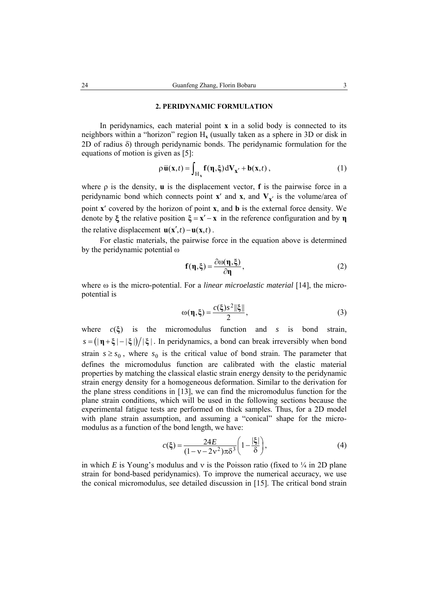### **2. PERIDYNAMIC FORMULATION**

In peridynamics, each material point **x** in a solid body is connected to its neighbors within a "horizon" region  $H_x$  (usually taken as a sphere in 3D or disk in 2D of radius δ) through peridynamic bonds. The peridynamic formulation for the equations of motion is given as [5]:

$$
\rho \ddot{\mathbf{u}}(\mathbf{x},t) = \int_{\mathcal{H}_{\mathbf{x}}} \mathbf{f}(\mathbf{\eta},\xi) \, d\mathbf{V}_{\mathbf{x}'} + \mathbf{b}(\mathbf{x},t) \,, \tag{1}
$$

where ρ is the density, **u** is the displacement vector, **f** is the pairwise force in a peridynamic bond which connects point **x**<sup>'</sup> and **x**<sub>*i*</sub> and **V**<sub>**x**<sup>'</sup> is the volume/area of</sub> point **x**′ covered by the horizon of point **x**, and **b** is the external force density. We denote by  $\xi$  the relative position  $\xi = x' - x$  in the reference configuration and by **n** the relative displacement  $\mathbf{u}(\mathbf{x}',t) - \mathbf{u}(\mathbf{x},t)$ .

For elastic materials, the pairwise force in the equation above is determined by the peridynamic potential ω

$$
f(\eta,\xi) = \frac{\partial \omega(\eta,\xi)}{\partial \eta},\qquad(2)
$$

where ω is the micro-potential. For a *linear microelastic material* [14], the micropotential is

$$
\omega(\eta,\xi) = \frac{c(\xi)s^2 \|\xi\|}{2},\tag{3}
$$

where  $c(\xi)$  is the micromodulus function and *s* is bond strain,  $s = (|\mathbf{\eta} + \xi| - |\xi|)/|\xi|$ . In peridynamics, a bond can break irreversibly when bond strain  $s \geq s_0$ , where  $s_0$  is the critical value of bond strain. The parameter that defines the micromodulus function are calibrated with the elastic material properties by matching the classical elastic strain energy density to the peridynamic strain energy density for a homogeneous deformation. Similar to the derivation for the plane stress conditions in [13], we can find the micromodulus function for the plane strain conditions, which will be used in the following sections because the experimental fatigue tests are performed on thick samples. Thus, for a 2D model with plane strain assumption, and assuming a "conical" shape for the micromodulus as a function of the bond length, we have:

$$
c(\xi) = \frac{24E}{(1 - v - 2v^2)\pi\delta^3} \left(1 - \frac{|\xi|}{\delta}\right),\tag{4}
$$

in which *E* is Young's modulus and v is the Poisson ratio (fixed to  $\frac{1}{4}$  in 2D plane strain for bond-based peridynamics). To improve the numerical accuracy, we use the conical micromodulus, see detailed discussion in [15]. The critical bond strain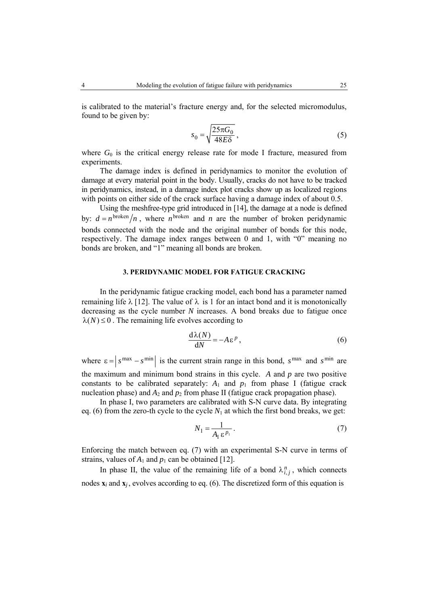is calibrated to the material's fracture energy and, for the selected micromodulus, found to be given by:

$$
s_0 = \sqrt{\frac{25\pi G_0}{48E\delta}}\,,\tag{5}
$$

where  $G_0$  is the critical energy release rate for mode I fracture, measured from experiments.

The damage index is defined in peridynamics to monitor the evolution of damage at every material point in the body. Usually, cracks do not have to be tracked in peridynamics, instead, in a damage index plot cracks show up as localized regions with points on either side of the crack surface having a damage index of about 0.5.

Using the meshfree-type grid introduced in [14], the damage at a node is defined by:  $d = n^{\text{broken}}/n$ , where *n* broken and *n* are the number of broken peridynamic bonds connected with the node and the original number of bonds for this node, respectively. The damage index ranges between 0 and 1, with "0" meaning no bonds are broken, and "1" meaning all bonds are broken.

# **3. PERIDYNAMIC MODEL FOR FATIGUE CRACKING**

In the peridynamic fatigue cracking model, each bond has a parameter named remaining life  $\lambda$  [12]. The value of  $\lambda$  is 1 for an intact bond and it is monotonically decreasing as the cycle number *N* increases. A bond breaks due to fatigue once  $\lambda(N) \leq 0$ . The remaining life evolves according to

$$
\frac{d\lambda(N)}{dN} = -A\,\varepsilon^p\,,\tag{6}
$$

where  $\varepsilon = |s^{\max} - s^{\min}|$  is the current strain range in this bond,  $s^{\max}$  and  $s^{\min}$  are the maximum and minimum bond strains in this cycle. *A* and *p* are two positive constants to be calibrated separately:  $A_1$  and  $p_1$  from phase I (fatigue crack nucleation phase) and  $A_2$  and  $p_2$  from phase II (fatigue crack propagation phase).

In phase I, two parameters are calibrated with S-N curve data. By integrating eq. (6) from the zero-th cycle to the cycle  $N_1$  at which the first bond breaks, we get:

$$
N_1 = \frac{1}{A_1 \,\varepsilon^{p_1}}\,. \tag{7}
$$

Enforcing the match between eq. (7) with an experimental S-N curve in terms of strains, values of  $A_1$  and  $p_1$  can be obtained [12].

In phase II, the value of the remaining life of a bond  $\lambda_{i,j}^n$ , which connects nodes  $\mathbf{x}_i$  and  $\mathbf{x}_j$ , evolves according to eq. (6). The discretized form of this equation is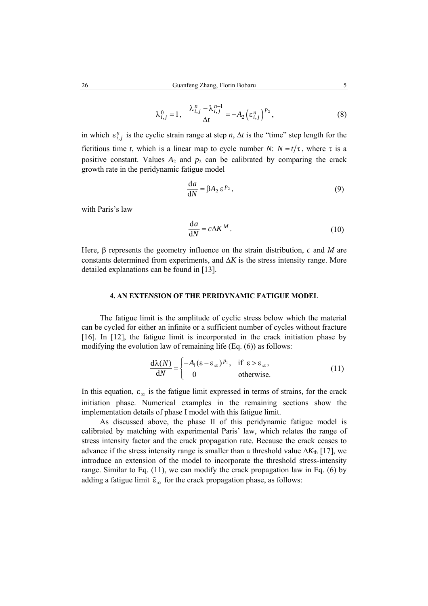$$
\lambda_{i,j}^0 = 1, \quad \frac{\lambda_{i,j}^n - \lambda_{i,j}^{n-1}}{\Delta t} = -A_2 \left(\varepsilon_{i,j}^n\right)^{p_2},\tag{8}
$$

in which  $\varepsilon_{i,j}^n$  is the cyclic strain range at step *n*,  $\Delta t$  is the "time" step length for the fictitious time *t*, which is a linear map to cycle number *N*:  $N = t/\tau$ , where  $\tau$  is a positive constant. Values  $A_2$  and  $p_2$  can be calibrated by comparing the crack growth rate in the peridynamic fatigue model

$$
\frac{\mathrm{d}a}{\mathrm{d}N} = \beta A_2 \,\varepsilon^{p_2},\tag{9}
$$

with Paris's law

$$
\frac{\mathrm{d}a}{\mathrm{d}N} = c\Delta K^M \,. \tag{10}
$$

Here, β represents the geometry influence on the strain distribution, *c* and *M* are constants determined from experiments, and  $\Delta K$  is the stress intensity range. More detailed explanations can be found in [13].

## **4. AN EXTENSION OF THE PERIDYNAMIC FATIGUE MODEL**

The fatigue limit is the amplitude of cyclic stress below which the material can be cycled for either an infinite or a sufficient number of cycles without fracture [16]. In [12], the fatigue limit is incorporated in the crack initiation phase by modifying the evolution law of remaining life (Eq. (6)) as follows:

$$
\frac{d\lambda(N)}{dN} = \begin{cases}\n-A_1(\varepsilon - \varepsilon_\infty)^{p_1}, & \text{if } \varepsilon > \varepsilon_\infty, \\
0 & \text{otherwise.} \n\end{cases}
$$
\n(11)

In this equation,  $\varepsilon_{\infty}$  is the fatigue limit expressed in terms of strains, for the crack initiation phase. Numerical examples in the remaining sections show the implementation details of phase I model with this fatigue limit.

As discussed above, the phase II of this peridynamic fatigue model is calibrated by matching with experimental Paris' law, which relates the range of stress intensity factor and the crack propagation rate. Because the crack ceases to advance if the stress intensity range is smaller than a threshold value  $\Delta K_{th}$  [17], we introduce an extension of the model to incorporate the threshold stress-intensity range. Similar to Eq. (11), we can modify the crack propagation law in Eq. (6) by adding a fatigue limit  $\tilde{\epsilon}_{\infty}$  for the crack propagation phase, as follows: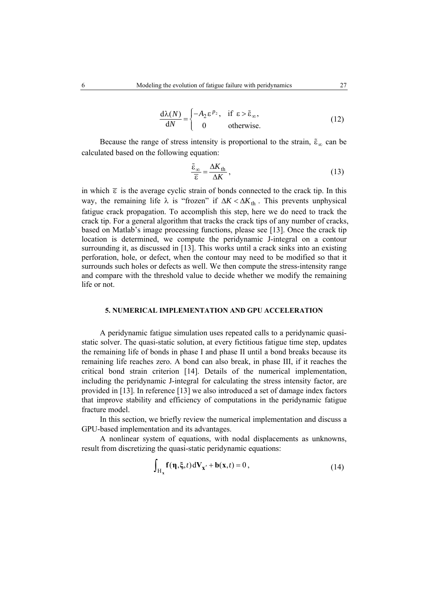$$
\frac{d\lambda(N)}{dN} = \begin{cases}\n-A_2 \varepsilon^{p_2}, & \text{if } \varepsilon > \tilde{\varepsilon}_{\infty}, \\
0 & \text{otherwise.} \n\end{cases}
$$
\n(12)

Because the range of stress intensity is proportional to the strain,  $\tilde{\epsilon}_{\infty}$  can be calculated based on the following equation:

$$
\frac{\tilde{\varepsilon}_{\infty}}{\overline{\varepsilon}} = \frac{\Delta K_{\text{th}}}{\Delta K},\tag{13}
$$

in which  $\bar{\epsilon}$  is the average cyclic strain of bonds connected to the crack tip. In this way, the remaining life  $\lambda$  is "frozen" if  $\Delta K < \Delta K_{th}$ . This prevents unphysical fatigue crack propagation. To accomplish this step, here we do need to track the crack tip. For a general algorithm that tracks the crack tips of any number of cracks, based on Matlab's image processing functions, please see [13]. Once the crack tip location is determined, we compute the peridynamic J-integral on a contour surrounding it, as discussed in [13]. This works until a crack sinks into an existing perforation, hole, or defect, when the contour may need to be modified so that it surrounds such holes or defects as well. We then compute the stress-intensity range and compare with the threshold value to decide whether we modify the remaining life or not.

# **5. NUMERICAL IMPLEMENTATION AND GPU ACCELERATION**

A peridynamic fatigue simulation uses repeated calls to a peridynamic quasistatic solver. The quasi-static solution, at every fictitious fatigue time step, updates the remaining life of bonds in phase I and phase II until a bond breaks because its remaining life reaches zero. A bond can also break, in phase III, if it reaches the critical bond strain criterion [14]. Details of the numerical implementation, including the peridynamic J-integral for calculating the stress intensity factor, are provided in [13]. In reference [13] we also introduced a set of damage index factors that improve stability and efficiency of computations in the peridynamic fatigue fracture model.

In this section, we briefly review the numerical implementation and discuss a GPU-based implementation and its advantages.

A nonlinear system of equations, with nodal displacements as unknowns, result from discretizing the quasi-static peridynamic equations:

$$
\int_{H_x} \mathbf{f}(\mathbf{\eta}, \xi, t) dV_{\mathbf{x}'} + \mathbf{b}(\mathbf{x}, t) = 0,
$$
\n(14)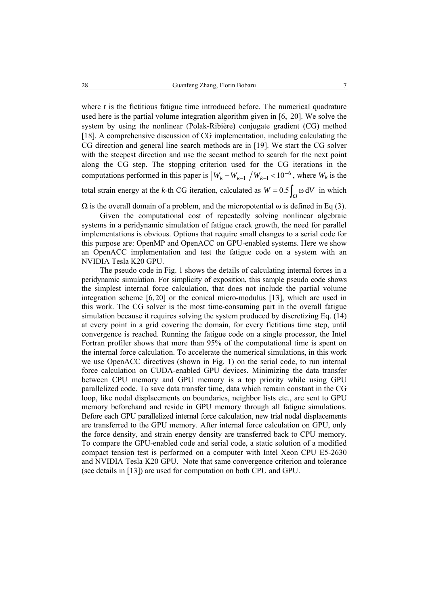where  $t$  is the fictitious fatigue time introduced before. The numerical quadrature used here is the partial volume integration algorithm given in [6, 20]. We solve the system by using the nonlinear (Polak-Ribière) conjugate gradient (CG) method [18]. A comprehensive discussion of CG implementation, including calculating the CG direction and general line search methods are in [19]. We start the CG solver with the steepest direction and use the secant method to search for the next point along the CG step. The stopping criterion used for the CG iterations in the computations performed in this paper is  $|W_k - W_{k-1}| / W_{k-1}$  < 10<sup>-6</sup>, where  $W_k$  is the total strain energy at the *k*-th CG iteration, calculated as  $W = 0.5 \int_{\Omega} \omega dV$  in which

 $\Omega$  is the overall domain of a problem, and the micropotential  $\omega$  is defined in Eq (3).

Given the computational cost of repeatedly solving nonlinear algebraic systems in a peridynamic simulation of fatigue crack growth, the need for parallel implementations is obvious. Options that require small changes to a serial code for this purpose are: OpenMP and OpenACC on GPU-enabled systems. Here we show an OpenACC implementation and test the fatigue code on a system with an NVIDIA Tesla K20 GPU.

The pseudo code in Fig. 1 shows the details of calculating internal forces in a peridynamic simulation. For simplicity of exposition, this sample pseudo code shows the simplest internal force calculation, that does not include the partial volume integration scheme [6,20] or the conical micro-modulus [13], which are used in this work. The CG solver is the most time-consuming part in the overall fatigue simulation because it requires solving the system produced by discretizing Eq. (14) at every point in a grid covering the domain, for every fictitious time step, until convergence is reached. Running the fatigue code on a single processor, the Intel Fortran profiler shows that more than 95% of the computational time is spent on the internal force calculation. To accelerate the numerical simulations, in this work we use OpenACC directives (shown in Fig. 1) on the serial code, to run internal force calculation on CUDA-enabled GPU devices. Minimizing the data transfer between CPU memory and GPU memory is a top priority while using GPU parallelized code. To save data transfer time, data which remain constant in the CG loop, like nodal displacements on boundaries, neighbor lists etc., are sent to GPU memory beforehand and reside in GPU memory through all fatigue simulations. Before each GPU parallelized internal force calculation, new trial nodal displacements are transferred to the GPU memory. After internal force calculation on GPU, only the force density, and strain energy density are transferred back to CPU memory. To compare the GPU-enabled code and serial code, a static solution of a modified compact tension test is performed on a computer with Intel Xeon CPU E5-2630 and NVIDIA Tesla K20 GPU. Note that same convergence criterion and tolerance (see details in [13]) are used for computation on both CPU and GPU.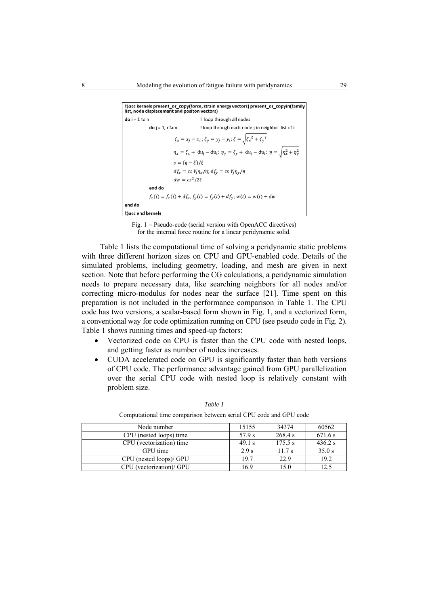```
!$acc kernels present_or_copy(force, strain energy vectors) present_or_copyin(family
list, node displacement and positon vectors)
do i = 1 to n
                                         ! loop through all nodes
             do j = 1, nfam
                                        ! loop through each node j in neighbor list of i
                           \xi_x = x_j - x_i; \xi_y = y_j - y_i; \xi = \sqrt{\xi_x^2 + \xi_y^2}\eta_x = \xi_x + du_j - du_i; \eta_y = \xi_y + du_j - du_i; \eta = \sqrt{\eta_x^2 + \eta_y^2}s=(\eta-\xi)/\xidf_x = cs V_j \eta_x/\eta; df_y = cs V_j \eta_y/\etadw = cs^2/2\xiend do
             f_x(i) = f_x(i) + df_x; f_y(i) = f_y(i) + df_y; w(i) = w(i) + dwend do
!$acc end kernels
```
Fig. 1 − Pseudo-code (serial version with OpenACC directives) for the internal force routine for a linear peridynamic solid.

Table 1 lists the computational time of solving a peridynamic static problems with three different horizon sizes on CPU and GPU-enabled code. Details of the simulated problems, including geometry, loading, and mesh are given in next section. Note that before performing the CG calculations, a peridynamic simulation needs to prepare necessary data, like searching neighbors for all nodes and/or correcting micro-modulus for nodes near the surface [21]. Time spent on this preparation is not included in the performance comparison in Table 1. The CPU code has two versions, a scalar-based form shown in Fig. 1, and a vectorized form, a conventional way for code optimization running on CPU (see pseudo code in Fig. 2). Table 1 shows running times and speed-up factors:

- Vectorized code on CPU is faster than the CPU code with nested loops, and getting faster as number of nodes increases.
- CUDA accelerated code on GPU is significantly faster than both versions of CPU code. The performance advantage gained from GPU parallelization over the serial CPU code with nested loop is relatively constant with problem size.

| Node number              | 15155  | 34374   | 60562   |
|--------------------------|--------|---------|---------|
| CPU (nested loops) time  | 57.9 s | 268.4 s | 671.6 s |
| CPU (vectorization) time | 49.1 s | 175.5 s | 436.2 s |
| GPU time                 | 2.9 s  | 11.7s   | 35.0 s  |
| CPU (nested loops)/ GPU  | 19.7   | 22.9    | 19.2    |
| CPU (vectorization)/ GPU | 16.9   | 15.0    | 12.5    |

*Table 1* 

Computational time comparison between serial CPU code and GPU code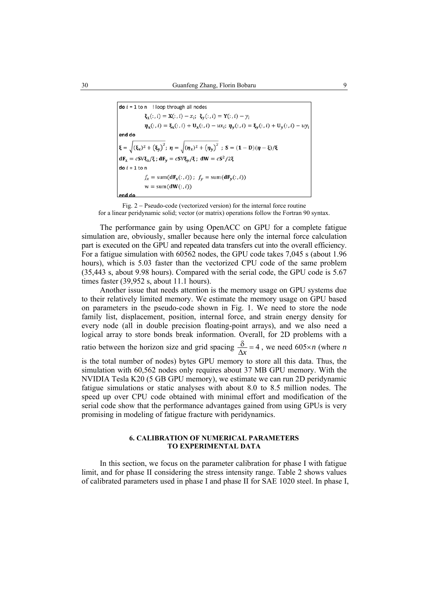**do**  $i = 1$  to n ! loop through all nodes  $\xi_{x}(:, i) = X(:, i) - x_{i}; \xi_{y}(:, i) = Y(:, i) - y_{i}$  $\eta_x(:, i) = \xi_x(:, i) + U_x(:, i) - ux_i; \eta_y(:, i) = \xi_y(:, i) + U_y(:, i) - uy_i$ end do  $\xi = \sqrt{(\xi_x)^2 + (\xi_y)^2}$ ;  $\eta = \sqrt{(\eta_x)^2 + (\eta_y)^2}$ ;  $S = (1 - D)(\eta - \xi)/\xi$  $dF_x = cSV\xi_x/\xi$ ;  $dF_y = cSV\xi_y/\xi$ ;  $dW = cS^2/2\xi$  $\mathbf{do} \mathbf{i} = 1 \mathbf{to} \mathbf{n}$  $f_x = \text{sum}(\mathbf{dF}_x(:,i))$ ;  $f_y = \text{sum}(\mathbf{dF}_y(:,i))$  $w = sum(dW(:, i))$ end do

Fig. 2 − Pseudo-code (vectorized version) for the internal force routine for a linear peridynamic solid; vector (or matrix) operations follow the Fortran 90 syntax.

The performance gain by using OpenACC on GPU for a complete fatigue simulation are, obviously, smaller because here only the internal force calculation part is executed on the GPU and repeated data transfers cut into the overall efficiency. For a fatigue simulation with 60562 nodes, the GPU code takes 7,045 s (about 1.96 hours), which is 5.03 faster than the vectorized CPU code of the same problem (35,443 s, about 9.98 hours). Compared with the serial code, the GPU code is 5.67 times faster (39,952 s, about 11.1 hours).

Another issue that needs attention is the memory usage on GPU systems due to their relatively limited memory. We estimate the memory usage on GPU based on parameters in the pseudo-code shown in Fig. 1. We need to store the node family list, displacement, position, internal force, and strain energy density for every node (all in double precision floating-point arrays), and we also need a logical array to store bonds break information. Overall, for 2D problems with a ratio between the horizon size and grid spacing  $\frac{\delta}{\Delta x} = 4$ , we need 605×*n* (where *n* is the total number of nodes) bytes GPU memory to store all this data. Thus, the simulation with 60,562 nodes only requires about 37 MB GPU memory. With the NVIDIA Tesla K20 (5 GB GPU memory), we estimate we can run 2D peridynamic fatigue simulations or static analyses with about 8.0 to 8.5 million nodes. The speed up over CPU code obtained with minimal effort and modification of the

### **6. CALIBRATION OF NUMERICAL PARAMETERS TO EXPERIMENTAL DATA**

serial code show that the performance advantages gained from using GPUs is very

promising in modeling of fatigue fracture with peridynamics.

In this section, we focus on the parameter calibration for phase I with fatigue limit, and for phase II considering the stress intensity range. Table 2 shows values of calibrated parameters used in phase I and phase II for SAE 1020 steel. In phase I,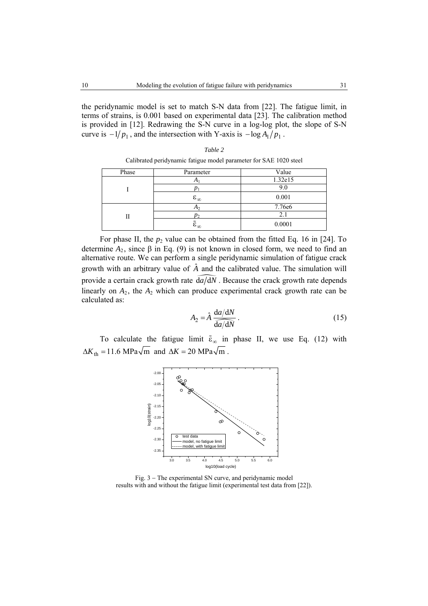the peridynamic model is set to match S-N data from [22]. The fatigue limit, in terms of strains, is 0.001 based on experimental data [23]. The calibration method is provided in [12]. Redrawing the S-N curve in a log-log plot, the slope of S-N curve is  $-1/p_1$ , and the intersection with Y-axis is  $-\log A_1/p_1$ .

> *Table 2*  Calibrated peridynamic fatigue model parameter for SAE 1020 steel

| Phase | Parameter                 | Value   |
|-------|---------------------------|---------|
|       | $\Delta$                  | 1.32e15 |
|       |                           | 9.0     |
|       | $\varepsilon_{\infty}$    | 0.001   |
|       | A <sub>2</sub>            | 7.76e6  |
| Н     | $p_2$                     | 2.1     |
|       | $\tilde{\epsilon}_\infty$ | 0.0001  |

For phase II, the  $p_2$  value can be obtained from the fitted Eq. 16 in [24]. To determine  $A_2$ , since  $\beta$  in Eq. (9) is not known in closed form, we need to find an alternative route. We can perform a single peridynamic simulation of fatigue crack growth with an arbitrary value of  $\hat{A}$  and the calibrated value. The simulation will provide a certain crack growth rate  $\widehat{da}/\widehat{dN}$ . Because the crack growth rate depends linearly on  $A_2$ , the  $A_2$  which can produce experimental crack growth rate can be

$$
A_2 = \hat{A} \frac{\mathrm{d}a/\mathrm{d}N}{\mathrm{d}a/\mathrm{d}N} \,. \tag{15}
$$

To calculate the fatigue limit  $\tilde{\epsilon}_{\infty}$  in phase II, we use Eq. (12) with  $\Delta K_{\text{th}} = 11.6 \text{ MPa}\sqrt{\text{m}}$  and  $\Delta K = 20 \text{ MPa}\sqrt{\text{m}}$ .



Fig. 3 − The experimental SN curve, and peridynamic model results with and without the fatigue limit (experimental test data from [22]).

calculated as: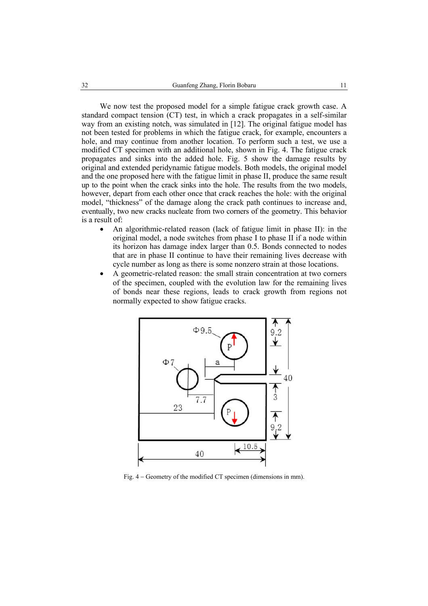We now test the proposed model for a simple fatigue crack growth case. A standard compact tension (CT) test, in which a crack propagates in a self-similar way from an existing notch, was simulated in [12]. The original fatigue model has not been tested for problems in which the fatigue crack, for example, encounters a hole, and may continue from another location. To perform such a test, we use a modified CT specimen with an additional hole, shown in Fig. 4. The fatigue crack propagates and sinks into the added hole. Fig. 5 show the damage results by original and extended peridynamic fatigue models. Both models, the original model and the one proposed here with the fatigue limit in phase II, produce the same result up to the point when the crack sinks into the hole. The results from the two models, however, depart from each other once that crack reaches the hole: with the original model, "thickness" of the damage along the crack path continues to increase and, eventually, two new cracks nucleate from two corners of the geometry. This behavior is a result of:

- An algorithmic-related reason (lack of fatigue limit in phase II): in the original model, a node switches from phase I to phase II if a node within its horizon has damage index larger than 0.5. Bonds connected to nodes that are in phase II continue to have their remaining lives decrease with cycle number as long as there is some nonzero strain at those locations.
- A geometric-related reason: the small strain concentration at two corners of the specimen, coupled with the evolution law for the remaining lives of bonds near these regions, leads to crack growth from regions not normally expected to show fatigue cracks.



Fig. 4 − Geometry of the modified CT specimen (dimensions in mm).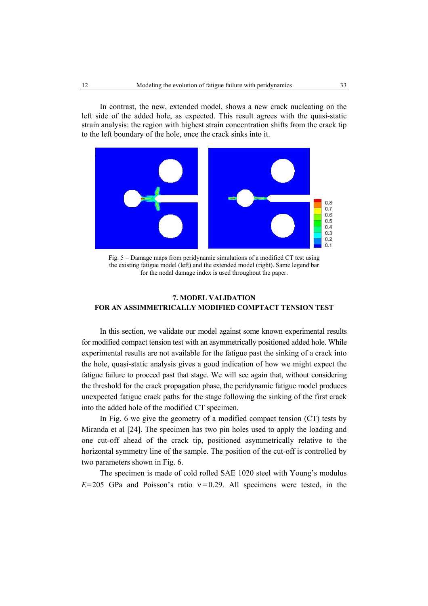In contrast, the new, extended model, shows a new crack nucleating on the left side of the added hole, as expected. This result agrees with the quasi-static strain analysis: the region with highest strain concentration shifts from the crack tip to the left boundary of the hole, once the crack sinks into it.



Fig. 5 − Damage maps from peridynamic simulations of a modified CT test using the existing fatigue model (left) and the extended model (right). Same legend bar for the nodal damage index is used throughout the paper.

# **7. MODEL VALIDATION FOR AN ASSIMMETRICALLY MODIFIED COMPTACT TENSION TEST**

In this section, we validate our model against some known experimental results for modified compact tension test with an asymmetrically positioned added hole. While experimental results are not available for the fatigue past the sinking of a crack into the hole, quasi-static analysis gives a good indication of how we might expect the fatigue failure to proceed past that stage. We will see again that, without considering the threshold for the crack propagation phase, the peridynamic fatigue model produces unexpected fatigue crack paths for the stage following the sinking of the first crack into the added hole of the modified CT specimen.

In Fig. 6 we give the geometry of a modified compact tension (CT) tests by Miranda et al [24]. The specimen has two pin holes used to apply the loading and one cut-off ahead of the crack tip, positioned asymmetrically relative to the horizontal symmetry line of the sample. The position of the cut-off is controlled by two parameters shown in Fig. 6.

The specimen is made of cold rolled SAE 1020 steel with Young's modulus  $E=205$  GPa and Poisson's ratio  $v=0.29$ . All specimens were tested, in the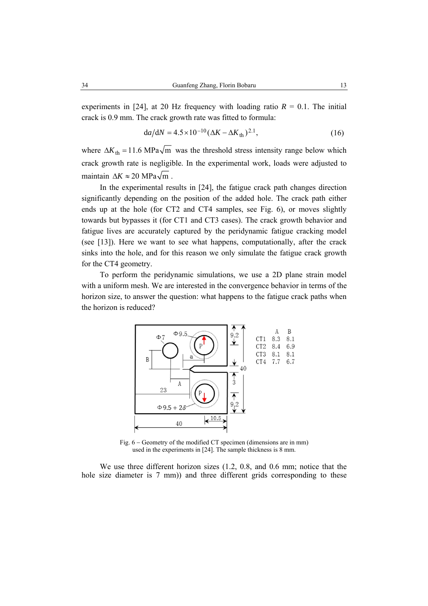experiments in [24], at 20 Hz frequency with loading ratio  $R = 0.1$ . The initial crack is 0.9 mm. The crack growth rate was fitted to formula:

$$
da/dN = 4.5 \times 10^{-10} (\Delta K - \Delta K_{th})^{2.1},
$$
 (16)

where  $\Delta K_{\text{th}} = 11.6 \text{ MPa} \sqrt{\text{m}}$  was the threshold stress intensity range below which crack growth rate is negligible. In the experimental work, loads were adjusted to maintain  $\Delta K \approx 20 \text{ MPa}\sqrt{\text{m}}$ .

In the experimental results in [24], the fatigue crack path changes direction significantly depending on the position of the added hole. The crack path either ends up at the hole (for CT2 and CT4 samples, see Fig. 6), or moves slightly towards but bypasses it (for CT1 and CT3 cases). The crack growth behavior and fatigue lives are accurately captured by the peridynamic fatigue cracking model (see [13]). Here we want to see what happens, computationally, after the crack sinks into the hole, and for this reason we only simulate the fatigue crack growth for the CT4 geometry.

To perform the peridynamic simulations, we use a 2D plane strain model with a uniform mesh. We are interested in the convergence behavior in terms of the horizon size, to answer the question: what happens to the fatigue crack paths when the horizon is reduced?



Fig. 6 − Geometry of the modified CT specimen (dimensions are in mm) used in the experiments in [24]. The sample thickness is 8 mm.

We use three different horizon sizes (1.2, 0.8, and 0.6 mm; notice that the hole size diameter is 7 mm)) and three different grids corresponding to these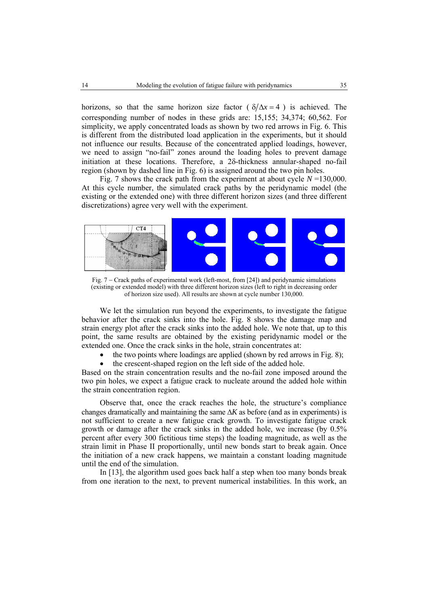horizons, so that the same horizon size factor ( $\delta/\Delta x = 4$ ) is achieved. The corresponding number of nodes in these grids are: 15,155; 34,374; 60,562. For simplicity, we apply concentrated loads as shown by two red arrows in Fig. 6. This is different from the distributed load application in the experiments, but it should not influence our results. Because of the concentrated applied loadings, however, we need to assign "no-fail" zones around the loading holes to prevent damage initiation at these locations. Therefore, a 2δ-thickness annular-shaped no-fail region (shown by dashed line in Fig. 6) is assigned around the two pin holes.

Fig. 7 shows the crack path from the experiment at about cycle *N* =130,000. At this cycle number, the simulated crack paths by the peridynamic model (the existing or the extended one) with three different horizon sizes (and three different discretizations) agree very well with the experiment.



Fig. 7 − Crack paths of experimental work (left-most, from [24]) and peridynamic simulations (existing or extended model) with three different horizon sizes (left to right in decreasing order of horizon size used). All results are shown at cycle number 130,000.

We let the simulation run beyond the experiments, to investigate the fatigue behavior after the crack sinks into the hole. Fig. 8 shows the damage map and strain energy plot after the crack sinks into the added hole. We note that, up to this point, the same results are obtained by the existing peridynamic model or the extended one. Once the crack sinks in the hole, strain concentrates at:

- the two points where loadings are applied (shown by red arrows in Fig. 8);
- the crescent-shaped region on the left side of the added hole.

Based on the strain concentration results and the no-fail zone imposed around the two pin holes, we expect a fatigue crack to nucleate around the added hole within the strain concentration region.

Observe that, once the crack reaches the hole, the structure's compliance changes dramatically and maintaining the same  $\Delta K$  as before (and as in experiments) is not sufficient to create a new fatigue crack growth. To investigate fatigue crack growth or damage after the crack sinks in the added hole, we increase (by 0.5% percent after every 300 fictitious time steps) the loading magnitude, as well as the strain limit in Phase II proportionally, until new bonds start to break again. Once the initiation of a new crack happens, we maintain a constant loading magnitude until the end of the simulation.

In [13], the algorithm used goes back half a step when too many bonds break from one iteration to the next, to prevent numerical instabilities. In this work, an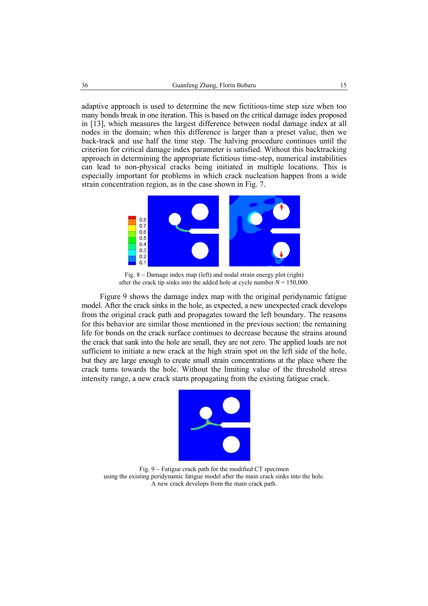adaptive approach is used to determine the new fictitious-time step size when too many bonds break in one iteration. This is based on the critical damage index proposed in [13], which measures the largest difference between nodal damage index at all nodes in the domain; when this difference is larger than a preset value, then we back-track and use half the time step. The halving procedure continues until the criterion for critical damage index parameter is satisfied. Without this backtracking approach in determining the appropriate fictitious time-step, numerical instabilities can lead to non-physical cracks being initiated in multiple locations. This is especially important for problems in which crack nucleation happen from a wide strain concentration region, as in the case shown in Fig. 7.



Fig. 8 − Damage index map (left) and nodal strain energy plot (right) after the crack tip sinks into the added hole at cycle number  $N = 150,000$ .

Figure 9 shows the damage index map with the original peridynamic fatigue model. After the crack sinks in the hole, as expected, a new unexpected crack develops from the original crack path and propagates toward the left boundary. The reasons for this behavior are similar those mentioned in the previous section: the remaining life for bonds on the crack surface continues to decrease because the strains around the crack that sank into the hole are small, they are not zero. The applied loads are not sufficient to initiate a new crack at the high strain spot on the left side of the hole, but they are large enough to create small strain concentrations at the place where the crack turns towards the hole. Without the limiting value of the threshold stress intensity range, a new crack starts propagating from the existing fatigue crack.



Fig. 9 − Fatigue crack path for the modified CT specimen using the existing peridynamic fatigue model after the main crack sinks into the hole. A new crack develops from the main crack path.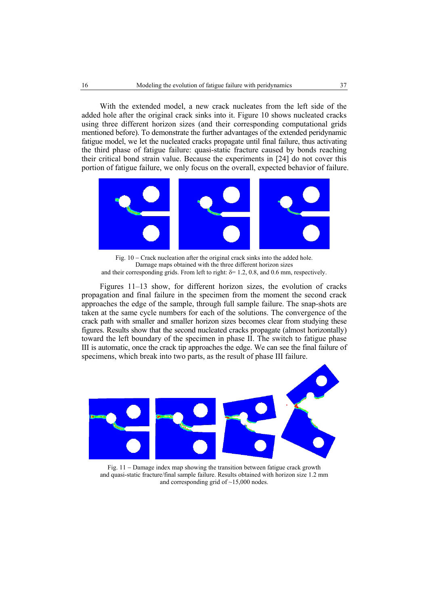With the extended model, a new crack nucleates from the left side of the added hole after the original crack sinks into it. Figure 10 shows nucleated cracks using three different horizon sizes (and their corresponding computational grids mentioned before). To demonstrate the further advantages of the extended peridynamic fatigue model, we let the nucleated cracks propagate until final failure, thus activating the third phase of fatigue failure: quasi-static fracture caused by bonds reaching their critical bond strain value. Because the experiments in [24] do not cover this portion of fatigue failure, we only focus on the overall, expected behavior of failure.



Fig. 10 − Crack nucleation after the original crack sinks into the added hole. Damage maps obtained with the three different horizon sizes and their corresponding grids. From left to right:  $\delta$ = 1.2, 0.8, and 0.6 mm, respectively.

Figures 11–13 show, for different horizon sizes, the evolution of cracks propagation and final failure in the specimen from the moment the second crack approaches the edge of the sample, through full sample failure. The snap-shots are taken at the same cycle numbers for each of the solutions. The convergence of the crack path with smaller and smaller horizon sizes becomes clear from studying these figures. Results show that the second nucleated cracks propagate (almost horizontally) toward the left boundary of the specimen in phase II. The switch to fatigue phase III is automatic, once the crack tip approaches the edge. We can see the final failure of specimens, which break into two parts, as the result of phase III failure.



Fig. 11 − Damage index map showing the transition between fatigue crack growth and quasi-static fracture/final sample failure. Results obtained with horizon size 1.2 mm and corresponding grid of ~15,000 nodes.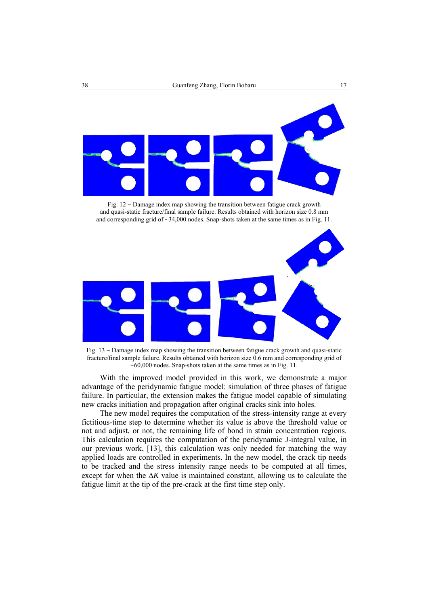

Fig. 12 − Damage index map showing the transition between fatigue crack growth and quasi-static fracture/final sample failure. Results obtained with horizon size 0.8 mm and corresponding grid of  $\sim$ 34,000 nodes. Snap-shots taken at the same times as in Fig. 11.



Fig. 13 − Damage index map showing the transition between fatigue crack growth and quasi-static fracture/final sample failure. Results obtained with horizon size 0.6 mm and corresponding grid of  $~60,000$  nodes. Snap-shots taken at the same times as in Fig. 11.

With the improved model provided in this work, we demonstrate a major advantage of the peridynamic fatigue model: simulation of three phases of fatigue failure. In particular, the extension makes the fatigue model capable of simulating new cracks initiation and propagation after original cracks sink into holes.

The new model requires the computation of the stress-intensity range at every fictitious-time step to determine whether its value is above the threshold value or not and adjust, or not, the remaining life of bond in strain concentration regions. This calculation requires the computation of the peridynamic J-integral value, in our previous work, [13], this calculation was only needed for matching the way applied loads are controlled in experiments. In the new model, the crack tip needs to be tracked and the stress intensity range needs to be computed at all times, except for when the  $\Delta K$  value is maintained constant, allowing us to calculate the fatigue limit at the tip of the pre-crack at the first time step only.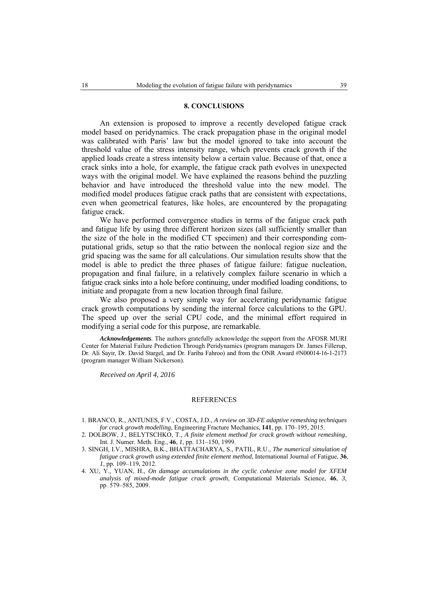#### **8. CONCLUSIONS**

An extension is proposed to improve a recently developed fatigue crack model based on peridynamics. The crack propagation phase in the original model was calibrated with Paris' law but the model ignored to take into account the threshold value of the stress intensity range, which prevents crack growth if the applied loads create a stress intensity below a certain value. Because of that, once a crack sinks into a hole, for example, the fatigue crack path evolves in unexpected ways with the original model. We have explained the reasons behind the puzzling behavior and have introduced the threshold value into the new model. The modified model produces fatigue crack paths that are consistent with expectations, even when geometrical features, like holes, are encountered by the propagating fatigue crack.

We have performed convergence studies in terms of the fatigue crack path and fatigue life by using three different horizon sizes (all sufficiently smaller than the size of the hole in the modified CT specimen) and their corresponding computational grids, setup so that the ratio between the nonlocal region size and the grid spacing was the same for all calculations. Our simulation results show that the model is able to predict the three phases of fatigue failure: fatigue nucleation, propagation and final failure, in a relatively complex failure scenario in which a fatigue crack sinks into a hole before continuing, under modified loading conditions, to initiate and propagate from a new location through final failure.

We also proposed a very simple way for accelerating peridynamic fatigue crack growth computations by sending the internal force calculations to the GPU. The speed up over the serial CPU code, and the minimal effort required in modifying a serial code for this purpose, are remarkable.

*Acknowledgements.* The authors gratefully acknowledge the support from the AFOSR MURI Center for Material Failure Prediction Through Peridynamics (program managers Dr. James Fillerup, Dr. Ali Sayir, Dr. David Stargel, and Dr. Fariba Fahroo) and from the ONR Award #N00014-16-1-2173 (program manager William Nickerson).

*Received on April 4, 2016* 

#### **REFERENCES**

- 1. BRANCO, R., ANTUNES, F.V., COSTA, J.D., *A review on 3D-FE adaptive remeshing techniques for crack growth modelling*, Engineering Fracture Mechanics, **141**, pp. 170–195, 2015.
- 2. DOLBOW, J., BELYTSCHKO, T., *A finite element method for crack growth without remeshing*, Int. J. Numer. Meth. Eng., **46**, *1*, pp. 131–150, 1999.
- 3. SINGH, I.V., MISHRA, B.K., BHATTACHARYA, S., PATIL, R.U., *The numerical simulation of fatigue crack growth using extended finite element method*, International Journal of Fatigue, **36**, *1*, pp. 109–119, 2012.
- 4. XU, Y., YUAN, H., *On damage accumulations in the cyclic cohesive zone model for XFEM analysis of mixed-mode fatigue crack growth*, Computational Materials Science, **46**, *3*, pp. 579–585, 2009.